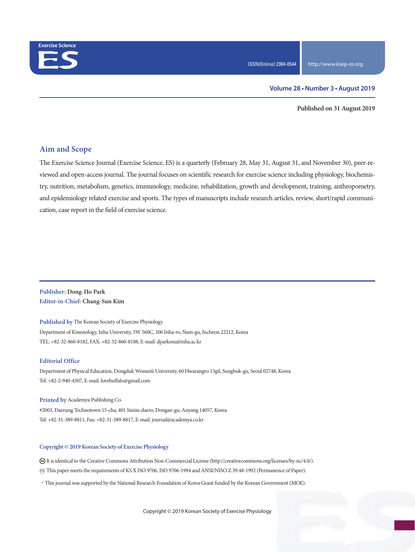

#### **Volume 28 • Number 3 • August 2019**

**Published on 31 August 2019**

### **Aim and Scope**

The Exercise Science Journal (Exercise Science, ES) is a quarterly (February 28, May 31, August 31, and November 30), peer-reviewed and open-access journal. The journal focuses on scientific research for exercise science including physiology, biochemistry, nutrition, metabolism, genetics, immunology, medicine, rehabilitation, growth and development, training, anthropometry, and epidemiology related exercise and sports. The types of manuscripts include research articles, review, short/rapid communication, case report in the field of exercise science.

#### **Publisher: Dong-Ho Park Editor-in-Chief: Chang-Sun Kim**

**Published by** The Korean Society of Exercise Physiology Department of Kinesiology, Inha University, 5W 560C, 100 Inha-ro, Nam-gu, Incheon 22212, Korea TEL: +82-32-860-8182, FAX: +82-32-860-8188, E-mail: dparkosu@inha.ac.kr

#### **Editorial Office**

Department of Physical Education, Dongduk Women's University, 60 Hwarangro 13gil, Sungbuk-gu, Seoul 02748, Korea Tel: +82-2-940-4507, E-mail: lovebuffalo@gmail.com

**Printed by** Academya Publishing Co. #2003, Daerung Technotown 15-cha, 401 Simin-daero, Dongan-gu, Anyang 14057, Korea Tel: +82-31-389-8811, Fax: +82-31-389-8817, E-mail: journal@academya.co.kr

#### **Copyright © 2019 Korean Society of Exercise Physiology**

 It is identical to the Creative Commons Attribution Non-Commercial License (http://creativecommons.org/licenses/by-nc/4.0/). ∞ This paper meets the requirements of KS X ISO 9706, ISO 9706-1994 and ANSI/NISO Z.39.48-1992 (Permanence of Paper).

·This journal was supported by the National Research Foundation of Korea Grant funded by the Korean Government (MOE).

Copyright © 2019 Korean Society of Exercise Physiology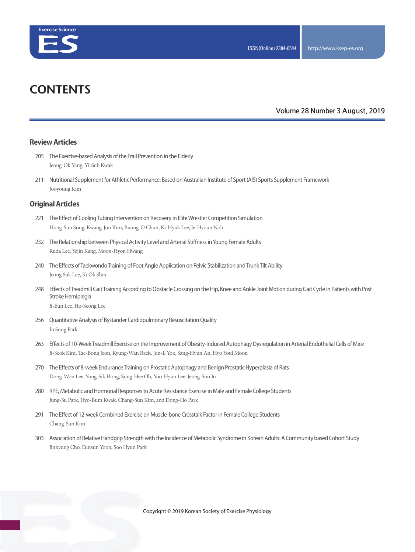

# **CONTENTS**

### **Volume 28 Number 3 August, 2019**

#### **Review Articles**

- 205 The Exercise-based Analysis of the Frail Prevention in the Elderly Jeong-Ok Yang, Yi-Sub Kwak
- 211 Nutritional Supplement for Athletic Performance: Based on Australian Institute of Sport (AIS) Sports Supplement Framework Jooyoung Kim

#### **Original Articles**

- 221 The Effect of Cooling Tubing Intervention on Recovery in Elite Wrestler Competition Simulation Hong-Sun Song, Kwang-Jun Kim, Buong-O Chun, Ki-Hyuk Lee, Je-Hyoun Noh
- 232 The Relationship between Physical Activity Level and Arterial Stiffness in Young Female Adults Ruda Lee, Yejin Kang, Moon-Hyon Hwang
- 240 The Effects of Taekwondo Training of Foot Angle Application on Pelvic Stabilization and Trunk Tilt Ability Jeong Suk Lee, Ki Ok Shin
- 248 Effects of Treadmill Gait Training According to Obstacle Crossing on the Hip, Knee and Ankle Joint Motion during Gait Cycle in Patients with Post Stroke Hemiplegia

Ji-Eun Lee, Ho-Seong Lee

- 256 Quantitative Analysis of Bystander Cardiopulmonary Resuscitation Quality In Sung Park
- 263 Effects of 10-Week Treadmill Exercise on the Improvement of Obesity-Induced Autophagy Dysregulation in Arterial Endothelial Cells of Mice Ji-Seok Kim, Tae-Bong Jeon, Kyung-Wan Baek, Jun-Il Yoo, Sang-Hyun An, Hyo Youl Moon
- 270 The Effects of 8-week Endurance Training on Prostatic Autophagy and Benign Prostatic Hyperplasia of Rats Dong-Won Lee, Yong-Sik Hong, Sung-Hee Oh, Yoo-Hyun Lee, Jeong-Sun Ju
- 280 RPE, Metabolic and Hormonal Responses to Acute Resistance Exercise in Male and Female College Students Jung-Su Park, Hyo-Bum Kwak, Chang-Sun Kim, and Dong-Ho Park
- 291 The Effect of 12-week Combined Exercise on Muscle-bone Crosstalk Factor in Female College Students Chang-Sun Kim
- 303 Association of Relative Handgrip Strength with the Incidence of Metabolic Syndrome in Korean Adults: A Community based Cohort Study Jinkyung Cho, Eunsun Yoon, Soo Hyun Park